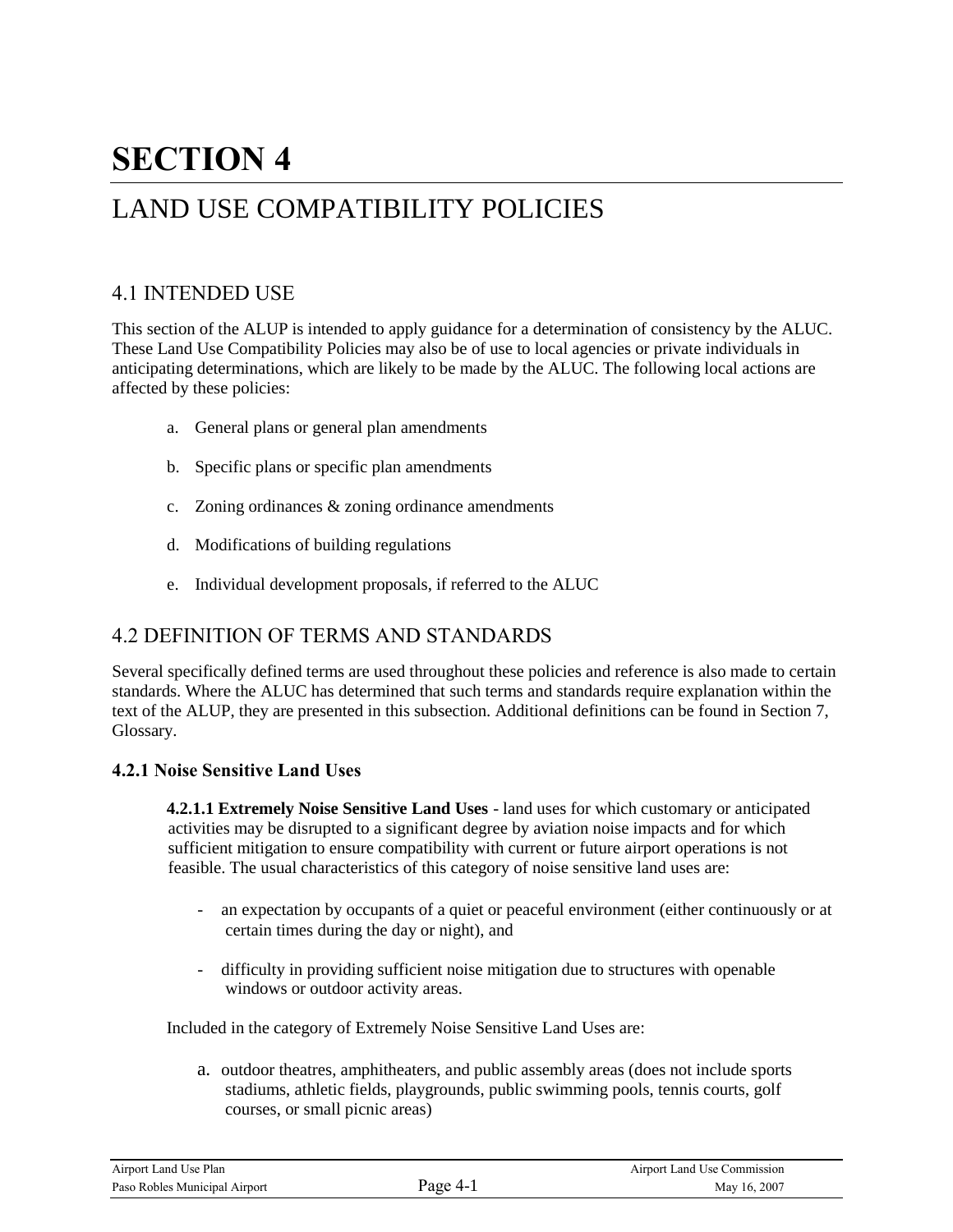# **SECTION 4**

## LAND USE COMPATIBILITY POLICIES

## 4.1 INTENDED USE

This section of the ALUP is intended to apply guidance for a determination of consistency by the ALUC. These Land Use Compatibility Policies may also be of use to local agencies or private individuals in anticipating determinations, which are likely to be made by the ALUC. The following local actions are affected by these policies:

- a. General plans or general plan amendments
- b. Specific plans or specific plan amendments
- c. Zoning ordinances & zoning ordinance amendments
- d. Modifications of building regulations
- e. Individual development proposals, if referred to the ALUC

## 4.2 DEFINITION OF TERMS AND STANDARDS

Several specifically defined terms are used throughout these policies and reference is also made to certain standards. Where the ALUC has determined that such terms and standards require explanation within the text of the ALUP, they are presented in this subsection. Additional definitions can be found in Section 7, Glossary.

#### **4.2.1 Noise Sensitive Land Uses**

**4.2.1.1 Extremely Noise Sensitive Land Uses** - land uses for which customary or anticipated activities may be disrupted to a significant degree by aviation noise impacts and for which sufficient mitigation to ensure compatibility with current or future airport operations is not feasible. The usual characteristics of this category of noise sensitive land uses are:

- an expectation by occupants of a quiet or peaceful environment (either continuously or at certain times during the day or night), and
- difficulty in providing sufficient noise mitigation due to structures with openable windows or outdoor activity areas.

Included in the category of Extremely Noise Sensitive Land Uses are:

a. outdoor theatres, amphitheaters, and public assembly areas (does not include sports stadiums, athletic fields, playgrounds, public swimming pools, tennis courts, golf courses, or small picnic areas)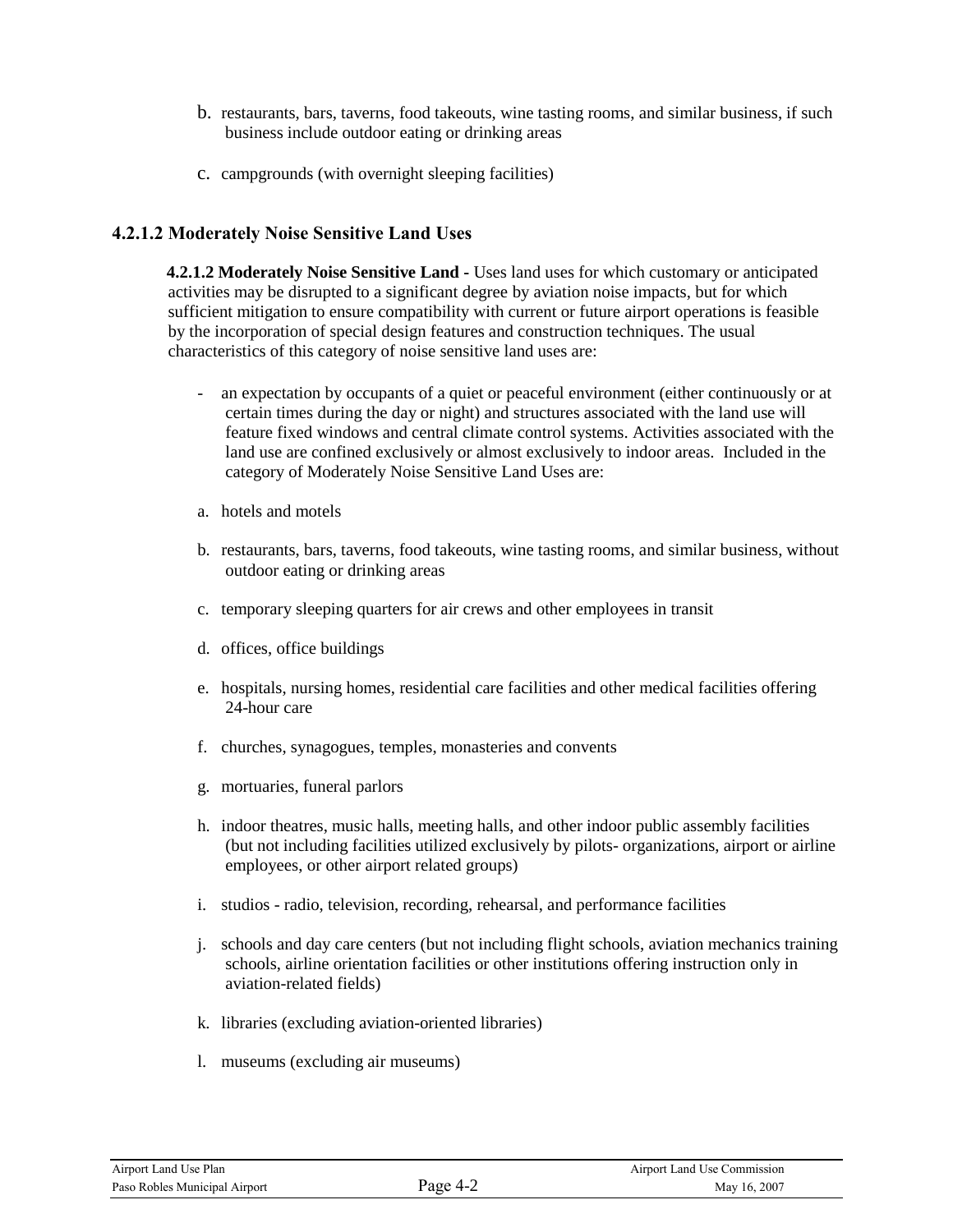- b. restaurants, bars, taverns, food takeouts, wine tasting rooms, and similar business, if such business include outdoor eating or drinking areas
- c. campgrounds (with overnight sleeping facilities)

#### **4.2.1.2 Moderately Noise Sensitive Land Uses**

**4.2.1.2 Moderately Noise Sensitive Land -** Uses land uses for which customary or anticipated activities may be disrupted to a significant degree by aviation noise impacts, but for which sufficient mitigation to ensure compatibility with current or future airport operations is feasible by the incorporation of special design features and construction techniques. The usual characteristics of this category of noise sensitive land uses are:

- an expectation by occupants of a quiet or peaceful environment (either continuously or at certain times during the day or night) and structures associated with the land use will feature fixed windows and central climate control systems. Activities associated with the land use are confined exclusively or almost exclusively to indoor areas. Included in the category of Moderately Noise Sensitive Land Uses are:
- a. hotels and motels
- b. restaurants, bars, taverns, food takeouts, wine tasting rooms, and similar business, without outdoor eating or drinking areas
- c. temporary sleeping quarters for air crews and other employees in transit
- d. offices, office buildings
- e. hospitals, nursing homes, residential care facilities and other medical facilities offering 24-hour care
- f. churches, synagogues, temples, monasteries and convents
- g. mortuaries, funeral parlors
- h. indoor theatres, music halls, meeting halls, and other indoor public assembly facilities (but not including facilities utilized exclusively by pilots- organizations, airport or airline employees, or other airport related groups)
- i. studios radio, television, recording, rehearsal, and performance facilities
- j. schools and day care centers (but not including flight schools, aviation mechanics training schools, airline orientation facilities or other institutions offering instruction only in aviation-related fields)
- k. libraries (excluding aviation-oriented libraries)
- l. museums (excluding air museums)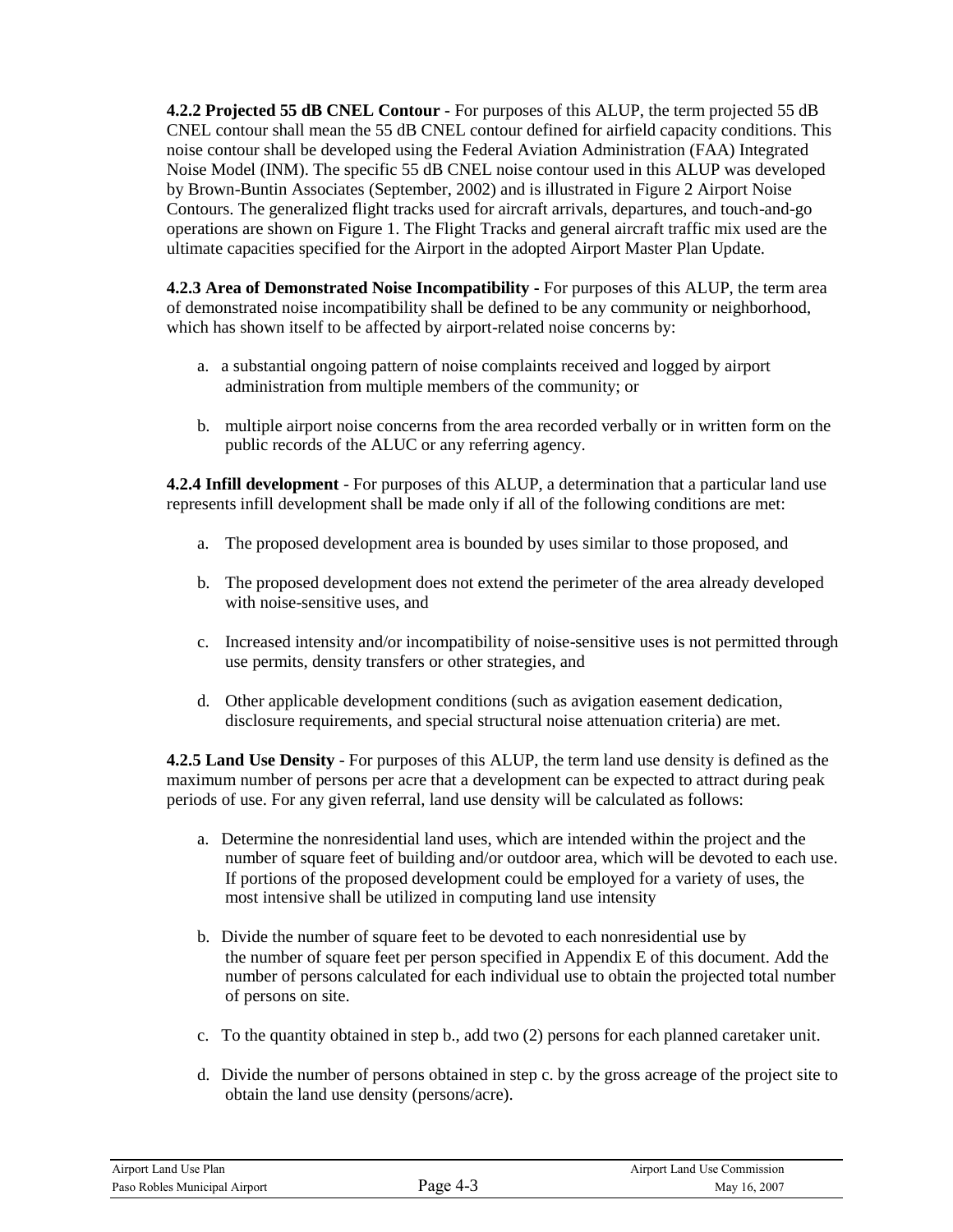**4.2.2 Projected 55 dB CNEL Contour -** For purposes of this ALUP, the term projected 55 dB CNEL contour shall mean the 55 dB CNEL contour defined for airfield capacity conditions. This noise contour shall be developed using the Federal Aviation Administration (FAA) Integrated Noise Model (INM). The specific 55 dB CNEL noise contour used in this ALUP was developed by Brown-Buntin Associates (September, 2002) and is illustrated in Figure 2 Airport Noise Contours. The generalized flight tracks used for aircraft arrivals, departures, and touch-and-go operations are shown on Figure 1. The Flight Tracks and general aircraft traffic mix used are the ultimate capacities specified for the Airport in the adopted Airport Master Plan Update.

**4.2.3 Area of Demonstrated Noise Incompatibility -** For purposes of this ALUP, the term area of demonstrated noise incompatibility shall be defined to be any community or neighborhood, which has shown itself to be affected by airport-related noise concerns by:

- a. a substantial ongoing pattern of noise complaints received and logged by airport administration from multiple members of the community; or
- b. multiple airport noise concerns from the area recorded verbally or in written form on the public records of the ALUC or any referring agency.

**4.2.4 Infill development** - For purposes of this ALUP, a determination that a particular land use represents infill development shall be made only if all of the following conditions are met:

- a. The proposed development area is bounded by uses similar to those proposed, and
- b. The proposed development does not extend the perimeter of the area already developed with noise-sensitive uses, and
- c. Increased intensity and/or incompatibility of noise-sensitive uses is not permitted through use permits, density transfers or other strategies, and
- d. Other applicable development conditions (such as avigation easement dedication, disclosure requirements, and special structural noise attenuation criteria) are met.

**4.2.5 Land Use Density** - For purposes of this ALUP, the term land use density is defined as the maximum number of persons per acre that a development can be expected to attract during peak periods of use. For any given referral, land use density will be calculated as follows:

- a. Determine the nonresidential land uses, which are intended within the project and the number of square feet of building and/or outdoor area, which will be devoted to each use. If portions of the proposed development could be employed for a variety of uses, the most intensive shall be utilized in computing land use intensity
- b. Divide the number of square feet to be devoted to each nonresidential use by the number of square feet per person specified in Appendix E of this document. Add the number of persons calculated for each individual use to obtain the projected total number of persons on site.
- c. To the quantity obtained in step b., add two (2) persons for each planned caretaker unit.
- d. Divide the number of persons obtained in step c. by the gross acreage of the project site to obtain the land use density (persons/acre).

| Airport Land Use Plan         |          | Airport Land Use Commission |
|-------------------------------|----------|-----------------------------|
| Paso Robles Municipal Airport | Page 4-3 | May 16, 2007                |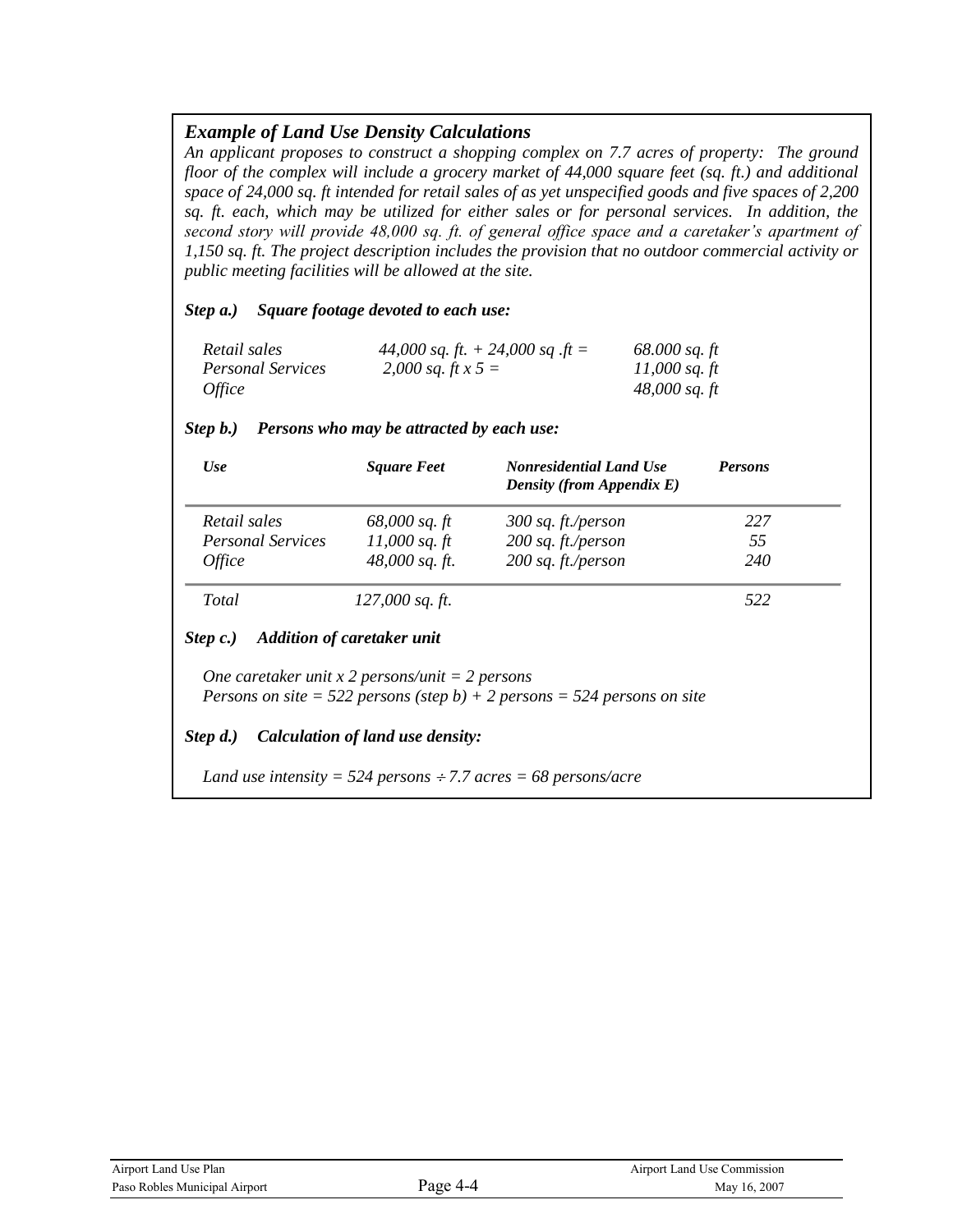## *Example of Land Use Density Calculations*

*An applicant proposes to construct a shopping complex on 7.7 acres of property: The ground floor of the complex will include a grocery market of 44,000 square feet (sq. ft.) and additional space of 24,000 sq. ft intended for retail sales of as yet unspecified goods and five spaces of 2,200 sq. ft. each, which may be utilized for either sales or for personal services. In addition, the second story will provide 48,000 sq. ft. of general office space and a caretaker's apartment of 1,150 sq. ft. The project description includes the provision that no outdoor commercial activity or public meeting facilities will be allowed at the site.*

*Step a.) Square footage devoted to each use:*

| Retail sales             | 44,000 sq. ft. $+ 24,000$ sq. ft = | $68,000$ sq. ft |
|--------------------------|------------------------------------|-----------------|
| <b>Personal Services</b> | 2,000 sq. ft x 5 =                 | 11,000 sq. ft   |
| <i>Office</i>            |                                    | 48,000 sq. ft   |

| <b>Use</b>               | <b>Square Feet</b>                                                                   | <b>Nonresidential Land Use</b><br><b>Density (from Appendix E)</b>       | <b>Persons</b> |
|--------------------------|--------------------------------------------------------------------------------------|--------------------------------------------------------------------------|----------------|
| Retail sales             | $68,000$ sq. ft                                                                      | 300 sq. ft./person                                                       | 227            |
| <b>Personal Services</b> | $11,000$ sq. ft                                                                      | $200$ sq. ft./person                                                     | 55             |
| <i>Office</i>            | 48,000 sq. ft.                                                                       | $200$ sq. ft./person                                                     | 240            |
| Total                    | $127,000$ sq. ft.                                                                    |                                                                          | 522            |
|                          |                                                                                      |                                                                          |                |
| Step c.)                 | <b>Addition of caretaker unit</b><br>One caretaker unit x 2 persons/unit = 2 persons | Persons on site = 522 persons (step b) + 2 persons = 524 persons on site |                |

#### *Step b.) Persons who may be attracted by each use:*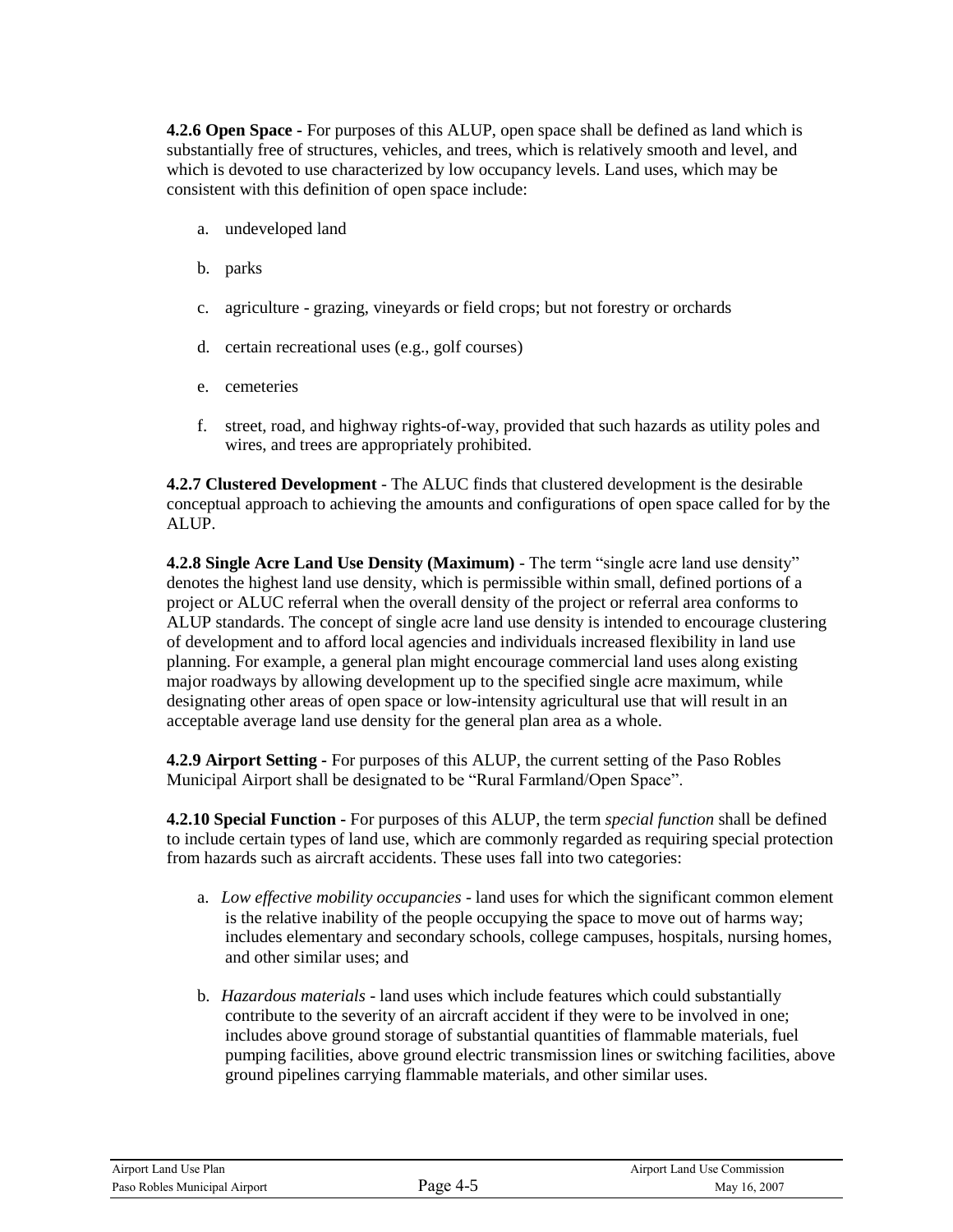**4.2.6 Open Space -** For purposes of this ALUP, open space shall be defined as land which is substantially free of structures, vehicles, and trees, which is relatively smooth and level, and which is devoted to use characterized by low occupancy levels. Land uses, which may be consistent with this definition of open space include:

- a. undeveloped land
- b. parks
- c. agriculture grazing, vineyards or field crops; but not forestry or orchards
- d. certain recreational uses (e.g., golf courses)
- e. cemeteries
- f. street, road, and highway rights-of-way, provided that such hazards as utility poles and wires, and trees are appropriately prohibited.

**4.2.7 Clustered Development** - The ALUC finds that clustered development is the desirable conceptual approach to achieving the amounts and configurations of open space called for by the ALUP.

**4.2.8 Single Acre Land Use Density (Maximum)** - The term "single acre land use density" denotes the highest land use density, which is permissible within small, defined portions of a project or ALUC referral when the overall density of the project or referral area conforms to ALUP standards. The concept of single acre land use density is intended to encourage clustering of development and to afford local agencies and individuals increased flexibility in land use planning. For example, a general plan might encourage commercial land uses along existing major roadways by allowing development up to the specified single acre maximum, while designating other areas of open space or low-intensity agricultural use that will result in an acceptable average land use density for the general plan area as a whole.

**4.2.9 Airport Setting -** For purposes of this ALUP, the current setting of the Paso Robles Municipal Airport shall be designated to be "Rural Farmland/Open Space".

**4.2.10 Special Function -** For purposes of this ALUP, the term *special function* shall be defined to include certain types of land use, which are commonly regarded as requiring special protection from hazards such as aircraft accidents. These uses fall into two categories:

- a. *Low effective mobility occupancies* land uses for which the significant common element is the relative inability of the people occupying the space to move out of harms way; includes elementary and secondary schools, college campuses, hospitals, nursing homes, and other similar uses; and
- b. *Hazardous materials* land uses which include features which could substantially contribute to the severity of an aircraft accident if they were to be involved in one; includes above ground storage of substantial quantities of flammable materials, fuel pumping facilities, above ground electric transmission lines or switching facilities, above ground pipelines carrying flammable materials, and other similar uses.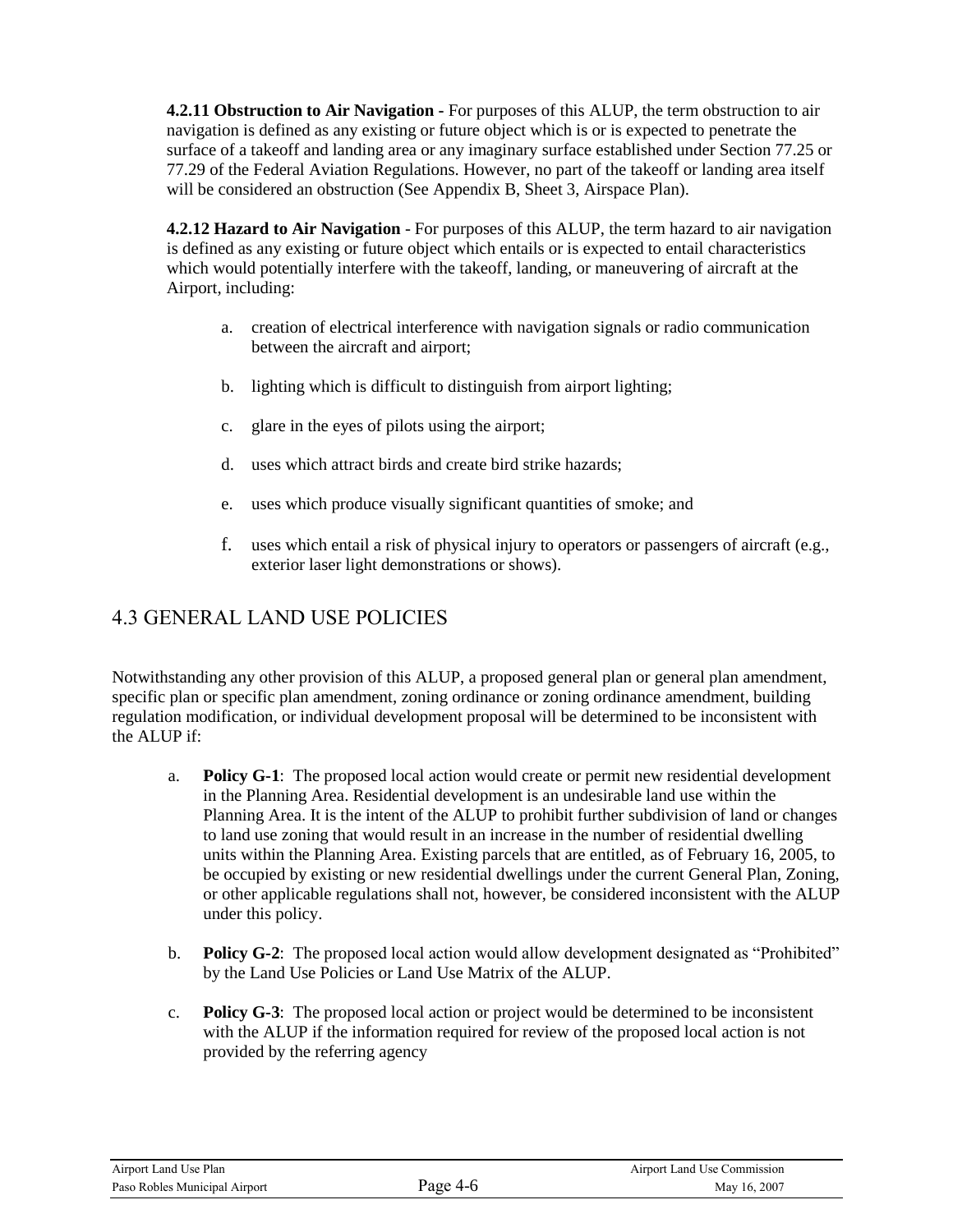**4.2.11 Obstruction to Air Navigation -** For purposes of this ALUP, the term obstruction to air navigation is defined as any existing or future object which is or is expected to penetrate the surface of a takeoff and landing area or any imaginary surface established under Section 77.25 or 77.29 of the Federal Aviation Regulations. However, no part of the takeoff or landing area itself will be considered an obstruction (See Appendix B, Sheet 3, Airspace Plan).

**4.2.12 Hazard to Air Navigation** - For purposes of this ALUP, the term hazard to air navigation is defined as any existing or future object which entails or is expected to entail characteristics which would potentially interfere with the takeoff, landing, or maneuvering of aircraft at the Airport, including:

- a. creation of electrical interference with navigation signals or radio communication between the aircraft and airport;
- b. lighting which is difficult to distinguish from airport lighting;
- c. glare in the eyes of pilots using the airport;
- d. uses which attract birds and create bird strike hazards;
- e. uses which produce visually significant quantities of smoke; and
- f. uses which entail a risk of physical injury to operators or passengers of aircraft (e.g., exterior laser light demonstrations or shows).

## 4.3 GENERAL LAND USE POLICIES

Notwithstanding any other provision of this ALUP, a proposed general plan or general plan amendment, specific plan or specific plan amendment, zoning ordinance or zoning ordinance amendment, building regulation modification, or individual development proposal will be determined to be inconsistent with the ALUP if:

- a. **Policy G-1**: The proposed local action would create or permit new residential development in the Planning Area. Residential development is an undesirable land use within the Planning Area. It is the intent of the ALUP to prohibit further subdivision of land or changes to land use zoning that would result in an increase in the number of residential dwelling units within the Planning Area. Existing parcels that are entitled, as of February 16, 2005, to be occupied by existing or new residential dwellings under the current General Plan, Zoning, or other applicable regulations shall not, however, be considered inconsistent with the ALUP under this policy.
- b. **Policy G-2**: The proposed local action would allow development designated as "Prohibited" by the Land Use Policies or Land Use Matrix of the ALUP.
- c. **Policy G-3**: The proposed local action or project would be determined to be inconsistent with the ALUP if the information required for review of the proposed local action is not provided by the referring agency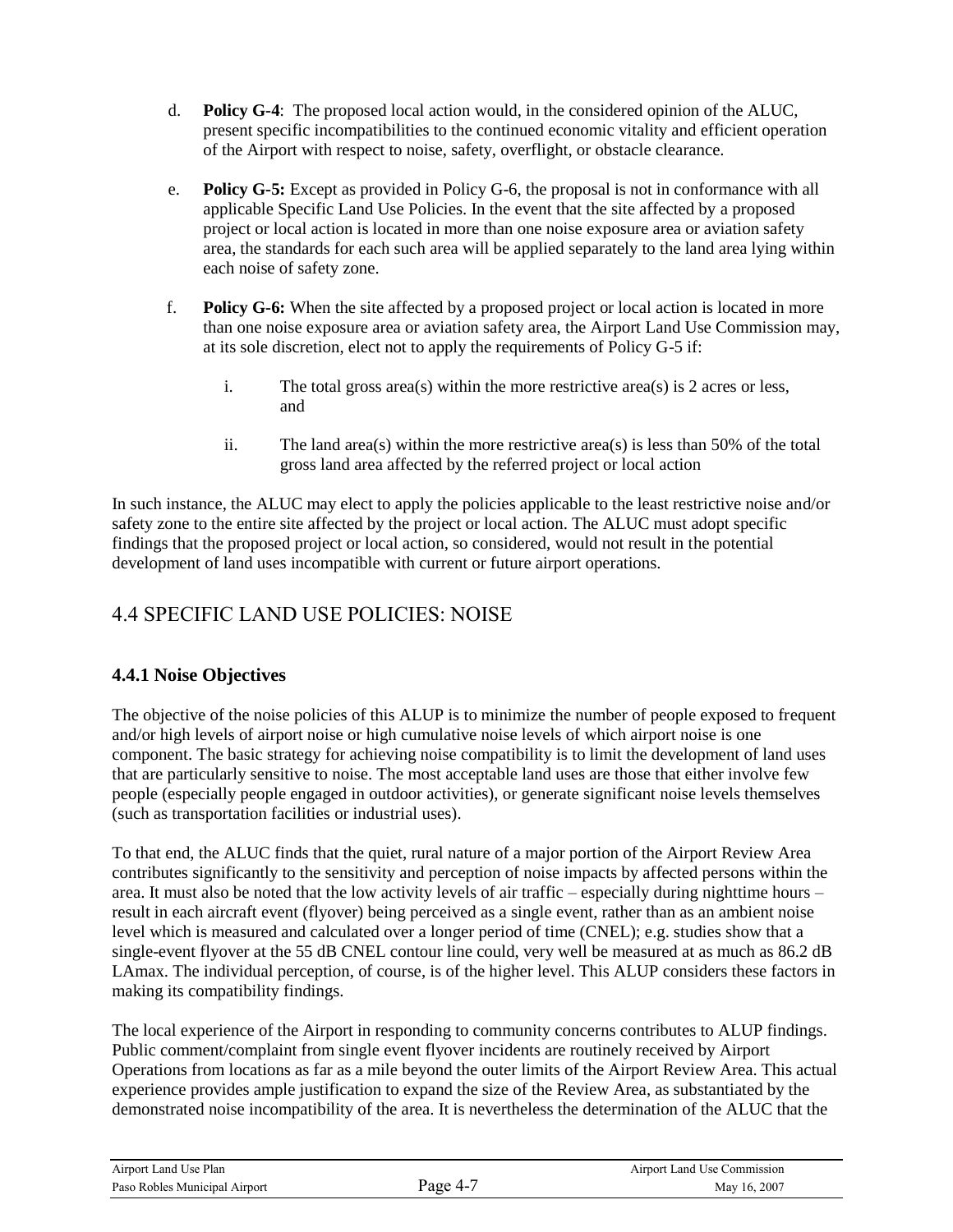- d. **Policy G-4**: The proposed local action would, in the considered opinion of the ALUC, present specific incompatibilities to the continued economic vitality and efficient operation of the Airport with respect to noise, safety, overflight, or obstacle clearance.
- e. **Policy G-5:** Except as provided in Policy G-6, the proposal is not in conformance with all applicable Specific Land Use Policies. In the event that the site affected by a proposed project or local action is located in more than one noise exposure area or aviation safety area, the standards for each such area will be applied separately to the land area lying within each noise of safety zone.
- f. **Policy G-6:** When the site affected by a proposed project or local action is located in more than one noise exposure area or aviation safety area, the Airport Land Use Commission may, at its sole discretion, elect not to apply the requirements of Policy G-5 if:
	- i. The total gross area(s) within the more restrictive area(s) is 2 acres or less, and
	- ii. The land area(s) within the more restrictive area(s) is less than 50% of the total gross land area affected by the referred project or local action

In such instance, the ALUC may elect to apply the policies applicable to the least restrictive noise and/or safety zone to the entire site affected by the project or local action. The ALUC must adopt specific findings that the proposed project or local action, so considered, would not result in the potential development of land uses incompatible with current or future airport operations.

## 4.4 SPECIFIC LAND USE POLICIES: NOISE

### **4.4.1 Noise Objectives**

The objective of the noise policies of this ALUP is to minimize the number of people exposed to frequent and/or high levels of airport noise or high cumulative noise levels of which airport noise is one component. The basic strategy for achieving noise compatibility is to limit the development of land uses that are particularly sensitive to noise. The most acceptable land uses are those that either involve few people (especially people engaged in outdoor activities), or generate significant noise levels themselves (such as transportation facilities or industrial uses).

To that end, the ALUC finds that the quiet, rural nature of a major portion of the Airport Review Area contributes significantly to the sensitivity and perception of noise impacts by affected persons within the area. It must also be noted that the low activity levels of air traffic – especially during nighttime hours – result in each aircraft event (flyover) being perceived as a single event, rather than as an ambient noise level which is measured and calculated over a longer period of time (CNEL); e.g. studies show that a single-event flyover at the 55 dB CNEL contour line could, very well be measured at as much as 86.2 dB LAmax. The individual perception, of course, is of the higher level. This ALUP considers these factors in making its compatibility findings.

The local experience of the Airport in responding to community concerns contributes to ALUP findings. Public comment/complaint from single event flyover incidents are routinely received by Airport Operations from locations as far as a mile beyond the outer limits of the Airport Review Area. This actual experience provides ample justification to expand the size of the Review Area, as substantiated by the demonstrated noise incompatibility of the area. It is nevertheless the determination of the ALUC that the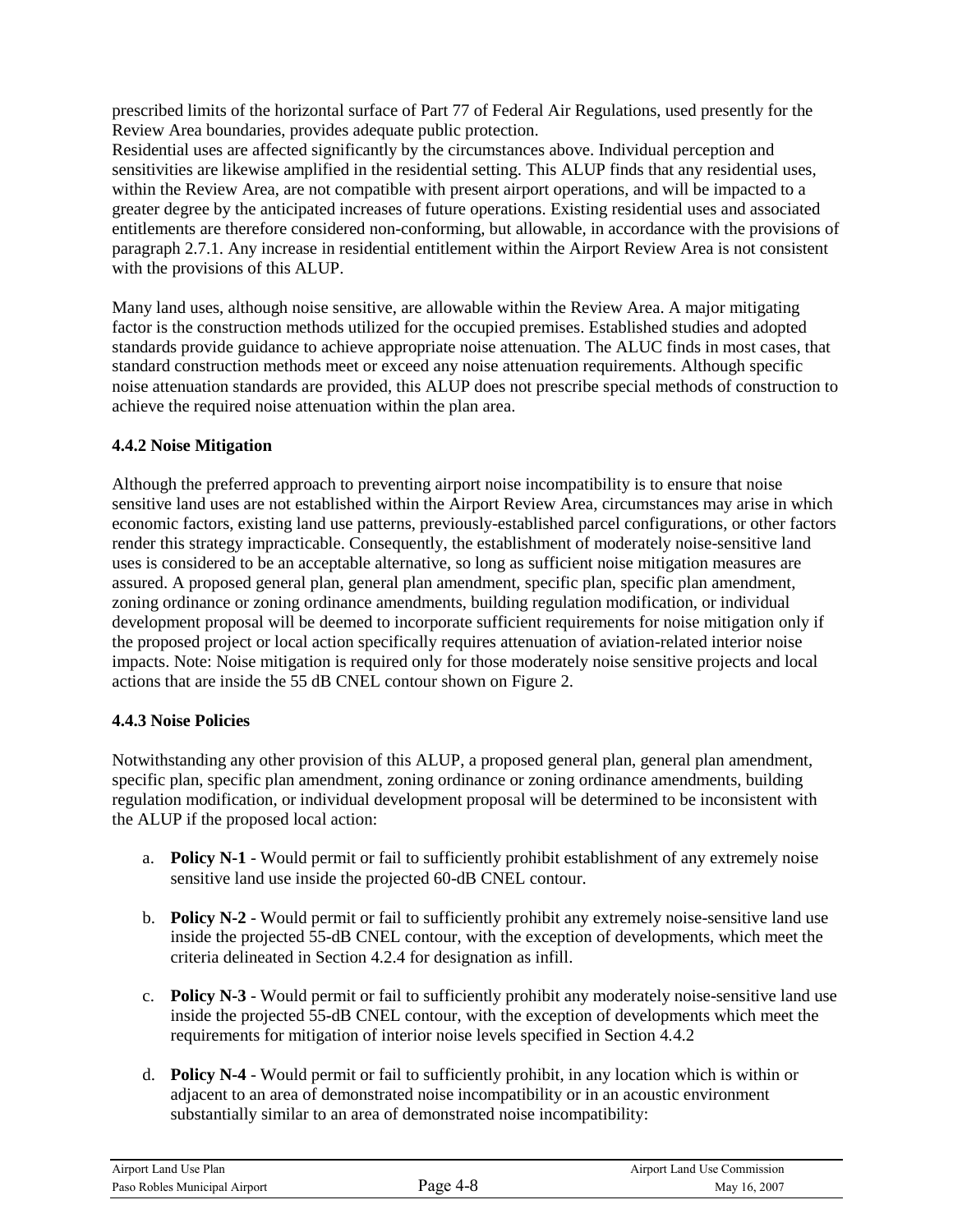prescribed limits of the horizontal surface of Part 77 of Federal Air Regulations, used presently for the Review Area boundaries, provides adequate public protection.

Residential uses are affected significantly by the circumstances above. Individual perception and sensitivities are likewise amplified in the residential setting. This ALUP finds that any residential uses, within the Review Area, are not compatible with present airport operations, and will be impacted to a greater degree by the anticipated increases of future operations. Existing residential uses and associated entitlements are therefore considered non-conforming, but allowable, in accordance with the provisions of paragraph 2.7.1. Any increase in residential entitlement within the Airport Review Area is not consistent with the provisions of this ALUP.

Many land uses, although noise sensitive, are allowable within the Review Area. A major mitigating factor is the construction methods utilized for the occupied premises. Established studies and adopted standards provide guidance to achieve appropriate noise attenuation. The ALUC finds in most cases, that standard construction methods meet or exceed any noise attenuation requirements. Although specific noise attenuation standards are provided, this ALUP does not prescribe special methods of construction to achieve the required noise attenuation within the plan area.

#### **4.4.2 Noise Mitigation**

Although the preferred approach to preventing airport noise incompatibility is to ensure that noise sensitive land uses are not established within the Airport Review Area, circumstances may arise in which economic factors, existing land use patterns, previously-established parcel configurations, or other factors render this strategy impracticable. Consequently, the establishment of moderately noise-sensitive land uses is considered to be an acceptable alternative, so long as sufficient noise mitigation measures are assured. A proposed general plan, general plan amendment, specific plan, specific plan amendment, zoning ordinance or zoning ordinance amendments, building regulation modification, or individual development proposal will be deemed to incorporate sufficient requirements for noise mitigation only if the proposed project or local action specifically requires attenuation of aviation-related interior noise impacts. Note: Noise mitigation is required only for those moderately noise sensitive projects and local actions that are inside the 55 dB CNEL contour shown on Figure 2.

#### **4.4.3 Noise Policies**

Notwithstanding any other provision of this ALUP, a proposed general plan, general plan amendment, specific plan, specific plan amendment, zoning ordinance or zoning ordinance amendments, building regulation modification, or individual development proposal will be determined to be inconsistent with the ALUP if the proposed local action:

- a. **Policy N-1** Would permit or fail to sufficiently prohibit establishment of any extremely noise sensitive land use inside the projected 60-dB CNEL contour.
- b. **Policy N-2** Would permit or fail to sufficiently prohibit any extremely noise-sensitive land use inside the projected 55-dB CNEL contour, with the exception of developments, which meet the criteria delineated in Section 4.2.4 for designation as infill.
- c. **Policy N-3** Would permit or fail to sufficiently prohibit any moderately noise-sensitive land use inside the projected 55-dB CNEL contour, with the exception of developments which meet the requirements for mitigation of interior noise levels specified in Section 4.4.2
- d. **Policy N-4** Would permit or fail to sufficiently prohibit, in any location which is within or adjacent to an area of demonstrated noise incompatibility or in an acoustic environment substantially similar to an area of demonstrated noise incompatibility: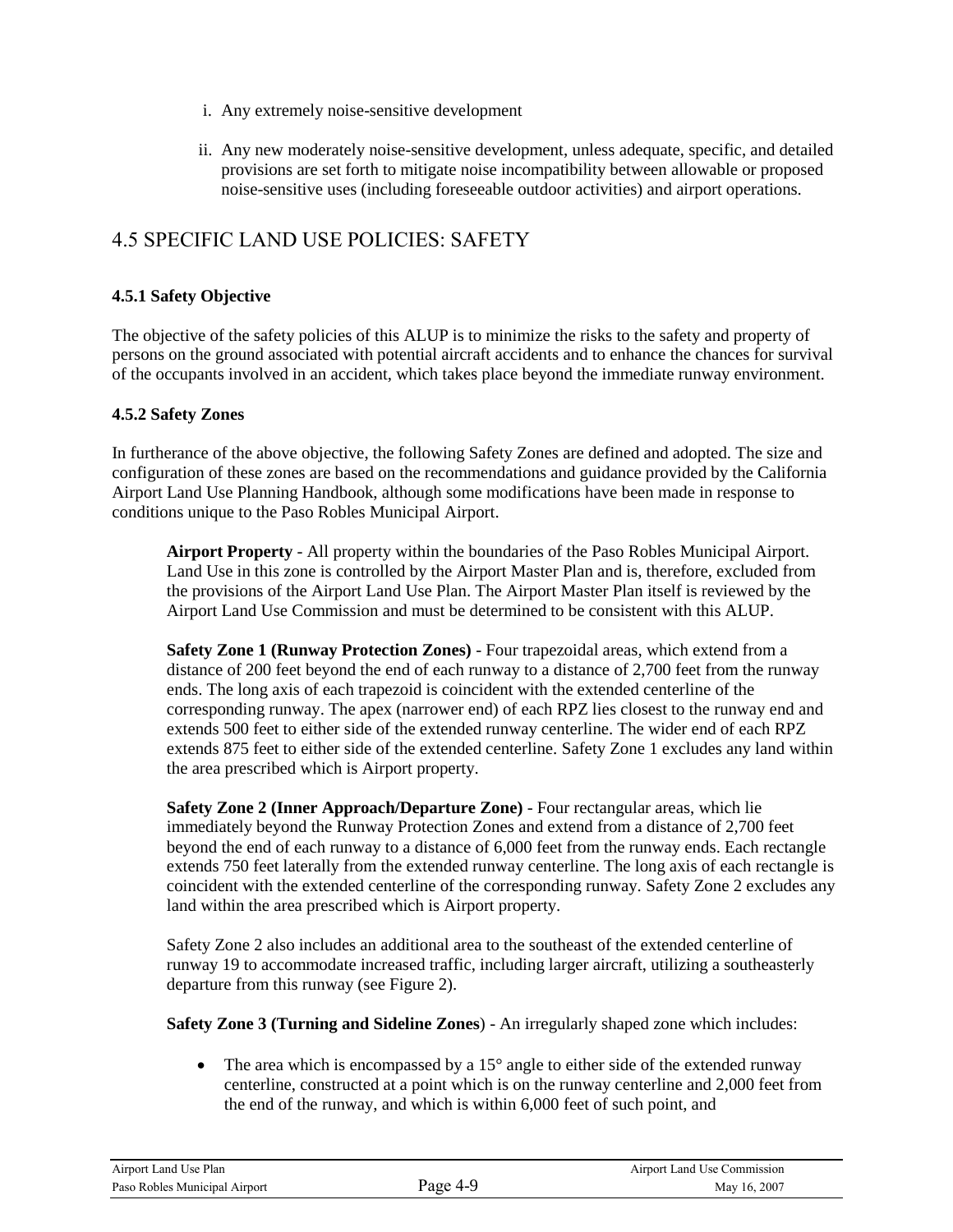- i. Any extremely noise-sensitive development
- ii. Any new moderately noise-sensitive development, unless adequate, specific, and detailed provisions are set forth to mitigate noise incompatibility between allowable or proposed noise-sensitive uses (including foreseeable outdoor activities) and airport operations.

## 4.5 SPECIFIC LAND USE POLICIES: SAFETY

#### **4.5.1 Safety Objective**

The objective of the safety policies of this ALUP is to minimize the risks to the safety and property of persons on the ground associated with potential aircraft accidents and to enhance the chances for survival of the occupants involved in an accident, which takes place beyond the immediate runway environment.

#### **4.5.2 Safety Zones**

In furtherance of the above objective, the following Safety Zones are defined and adopted. The size and configuration of these zones are based on the recommendations and guidance provided by the California Airport Land Use Planning Handbook, although some modifications have been made in response to conditions unique to the Paso Robles Municipal Airport.

**Airport Property** - All property within the boundaries of the Paso Robles Municipal Airport. Land Use in this zone is controlled by the Airport Master Plan and is, therefore, excluded from the provisions of the Airport Land Use Plan. The Airport Master Plan itself is reviewed by the Airport Land Use Commission and must be determined to be consistent with this ALUP.

**Safety Zone 1 (Runway Protection Zones)** - Four trapezoidal areas, which extend from a distance of 200 feet beyond the end of each runway to a distance of 2,700 feet from the runway ends. The long axis of each trapezoid is coincident with the extended centerline of the corresponding runway. The apex (narrower end) of each RPZ lies closest to the runway end and extends 500 feet to either side of the extended runway centerline. The wider end of each RPZ extends 875 feet to either side of the extended centerline. Safety Zone 1 excludes any land within the area prescribed which is Airport property.

**Safety Zone 2 (Inner Approach/Departure Zone)** - Four rectangular areas, which lie immediately beyond the Runway Protection Zones and extend from a distance of 2,700 feet beyond the end of each runway to a distance of 6,000 feet from the runway ends. Each rectangle extends 750 feet laterally from the extended runway centerline. The long axis of each rectangle is coincident with the extended centerline of the corresponding runway. Safety Zone 2 excludes any land within the area prescribed which is Airport property.

Safety Zone 2 also includes an additional area to the southeast of the extended centerline of runway 19 to accommodate increased traffic, including larger aircraft, utilizing a southeasterly departure from this runway (see Figure 2).

**Safety Zone 3 (Turning and Sideline Zones**) - An irregularly shaped zone which includes:

• The area which is encompassed by a  $15^{\circ}$  angle to either side of the extended runway centerline, constructed at a point which is on the runway centerline and 2,000 feet from the end of the runway, and which is within 6,000 feet of such point, and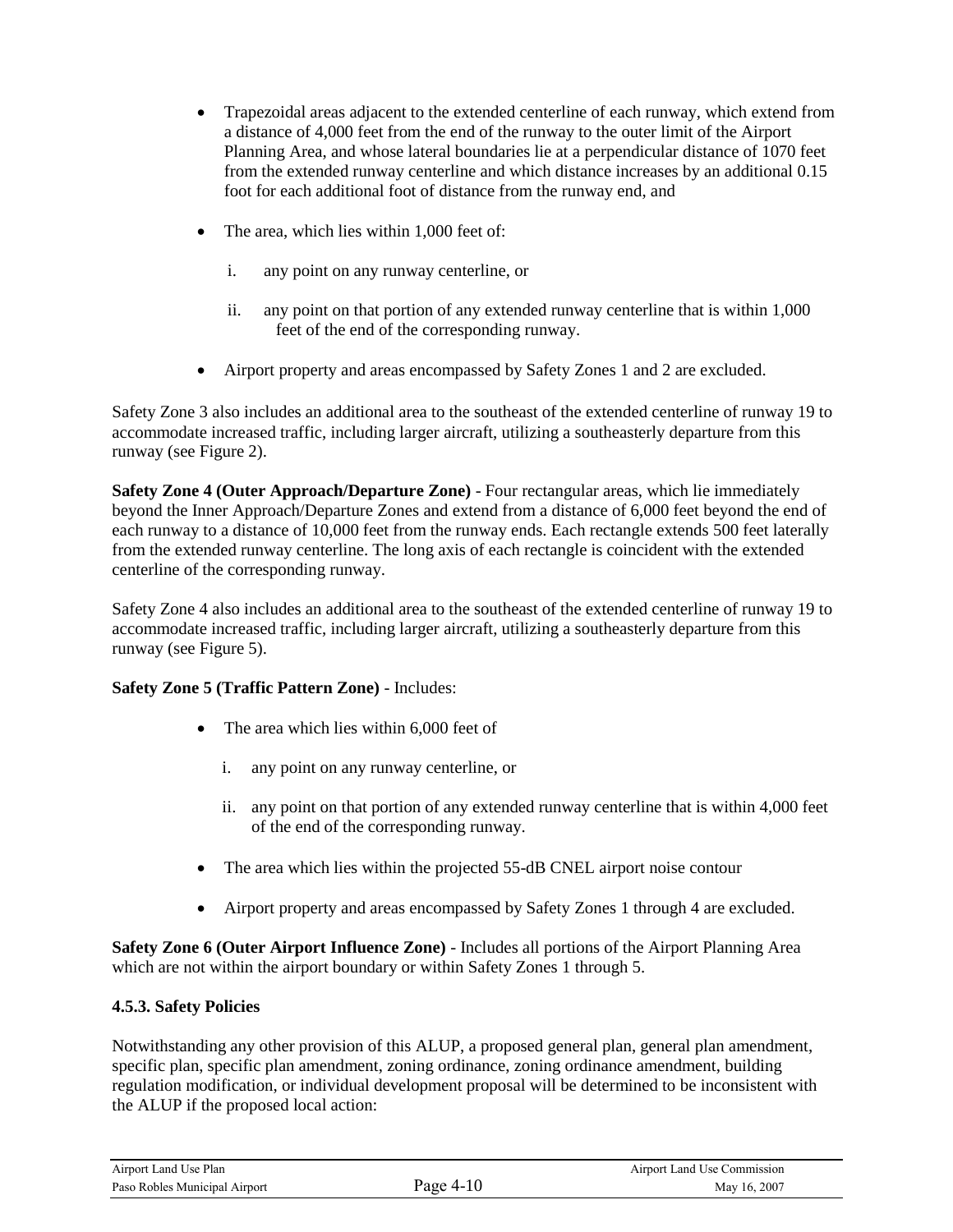- Trapezoidal areas adjacent to the extended centerline of each runway, which extend from a distance of 4,000 feet from the end of the runway to the outer limit of the Airport Planning Area, and whose lateral boundaries lie at a perpendicular distance of 1070 feet from the extended runway centerline and which distance increases by an additional 0.15 foot for each additional foot of distance from the runway end, and
- The area, which lies within 1,000 feet of:
	- i. any point on any runway centerline, or
	- ii. any point on that portion of any extended runway centerline that is within 1,000 feet of the end of the corresponding runway.
- Airport property and areas encompassed by Safety Zones 1 and 2 are excluded.

Safety Zone 3 also includes an additional area to the southeast of the extended centerline of runway 19 to accommodate increased traffic, including larger aircraft, utilizing a southeasterly departure from this runway (see Figure 2).

**Safety Zone 4 (Outer Approach/Departure Zone)** - Four rectangular areas, which lie immediately beyond the Inner Approach/Departure Zones and extend from a distance of 6,000 feet beyond the end of each runway to a distance of 10,000 feet from the runway ends. Each rectangle extends 500 feet laterally from the extended runway centerline. The long axis of each rectangle is coincident with the extended centerline of the corresponding runway.

Safety Zone 4 also includes an additional area to the southeast of the extended centerline of runway 19 to accommodate increased traffic, including larger aircraft, utilizing a southeasterly departure from this runway (see Figure 5).

#### **Safety Zone 5 (Traffic Pattern Zone)** - Includes:

- The area which lies within 6,000 feet of
	- i. any point on any runway centerline, or
	- ii. any point on that portion of any extended runway centerline that is within 4,000 feet of the end of the corresponding runway.
- The area which lies within the projected 55-dB CNEL airport noise contour
- Airport property and areas encompassed by Safety Zones 1 through 4 are excluded.

**Safety Zone 6 (Outer Airport Influence Zone)** - Includes all portions of the Airport Planning Area which are not within the airport boundary or within Safety Zones 1 through 5.

#### **4.5.3. Safety Policies**

Notwithstanding any other provision of this ALUP, a proposed general plan, general plan amendment, specific plan, specific plan amendment, zoning ordinance, zoning ordinance amendment, building regulation modification, or individual development proposal will be determined to be inconsistent with the ALUP if the proposed local action:

| Airport Land Use Plan         |           | Airport Land Use Commission |
|-------------------------------|-----------|-----------------------------|
| Paso Robles Municipal Airport | Page 4-10 | May 16, 2007                |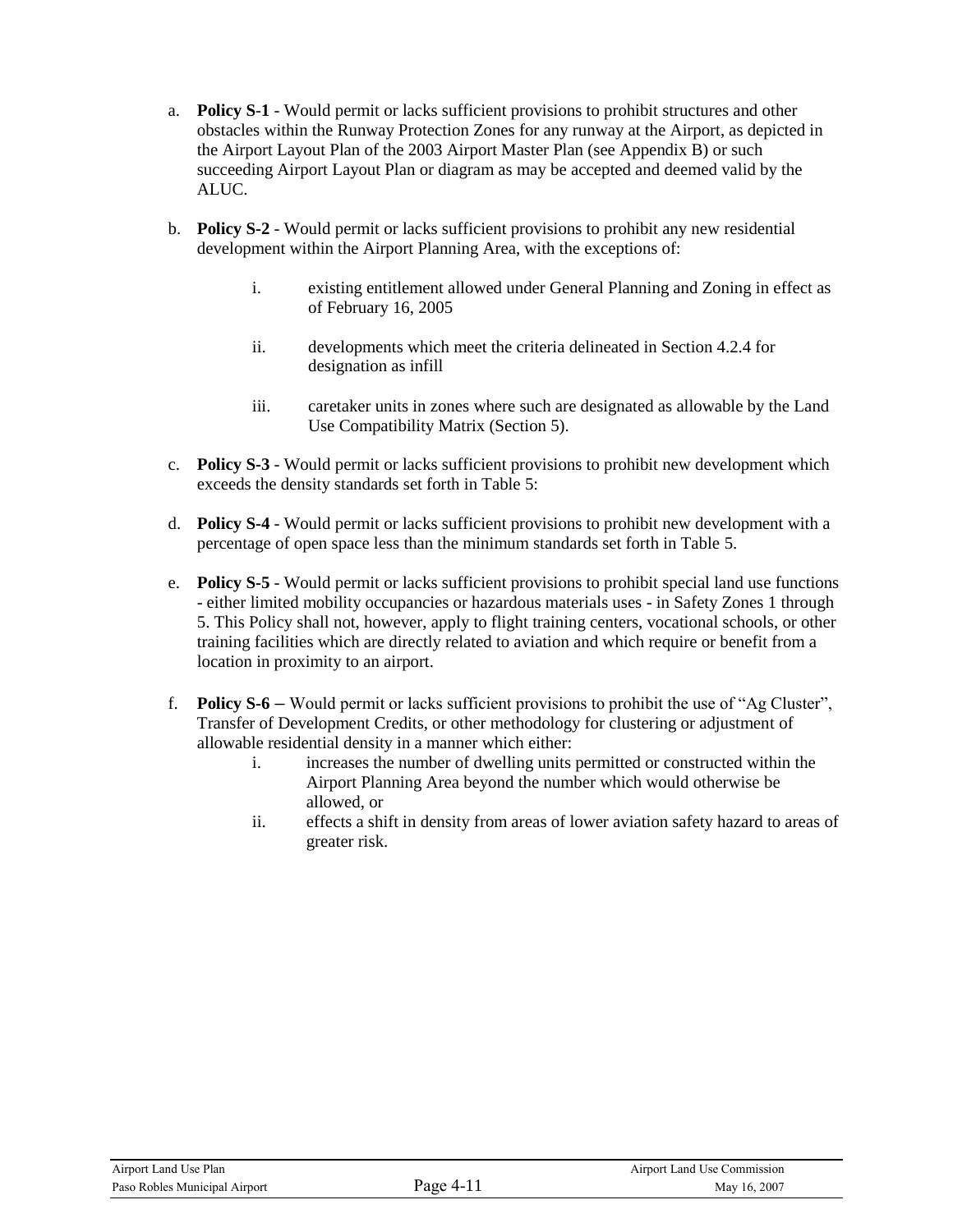- a. **Policy S**-**1** Would permit or lacks sufficient provisions to prohibit structures and other obstacles within the Runway Protection Zones for any runway at the Airport, as depicted in the Airport Layout Plan of the 2003 Airport Master Plan (see Appendix B) or such succeeding Airport Layout Plan or diagram as may be accepted and deemed valid by the ALUC.
- b. **Policy S-2** Would permit or lacks sufficient provisions to prohibit any new residential development within the Airport Planning Area, with the exceptions of:
	- i. existing entitlement allowed under General Planning and Zoning in effect as of February 16, 2005
	- ii. developments which meet the criteria delineated in Section 4.2.4 for designation as infill
	- iii. caretaker units in zones where such are designated as allowable by the Land Use Compatibility Matrix (Section 5).
- c. **Policy S-3** Would permit or lacks sufficient provisions to prohibit new development which exceeds the density standards set forth in Table 5:
- d. **Policy S-4** Would permit or lacks sufficient provisions to prohibit new development with a percentage of open space less than the minimum standards set forth in Table 5.
- e. **Policy S-5** Would permit or lacks sufficient provisions to prohibit special land use functions - either limited mobility occupancies or hazardous materials uses - in Safety Zones 1 through 5. This Policy shall not, however, apply to flight training centers, vocational schools, or other training facilities which are directly related to aviation and which require or benefit from a location in proximity to an airport.
- f. **Policy S-6 –** Would permit or lacks sufficient provisions to prohibit the use of "Ag Cluster", Transfer of Development Credits, or other methodology for clustering or adjustment of allowable residential density in a manner which either:
	- i. increases the number of dwelling units permitted or constructed within the Airport Planning Area beyond the number which would otherwise be allowed, or
	- ii. effects a shift in density from areas of lower aviation safety hazard to areas of greater risk.

| Airport Land Use Plan         |           | Airport Land Use Commission |
|-------------------------------|-----------|-----------------------------|
| Paso Robles Municipal Airport | Page 4-11 | May 16, 2007                |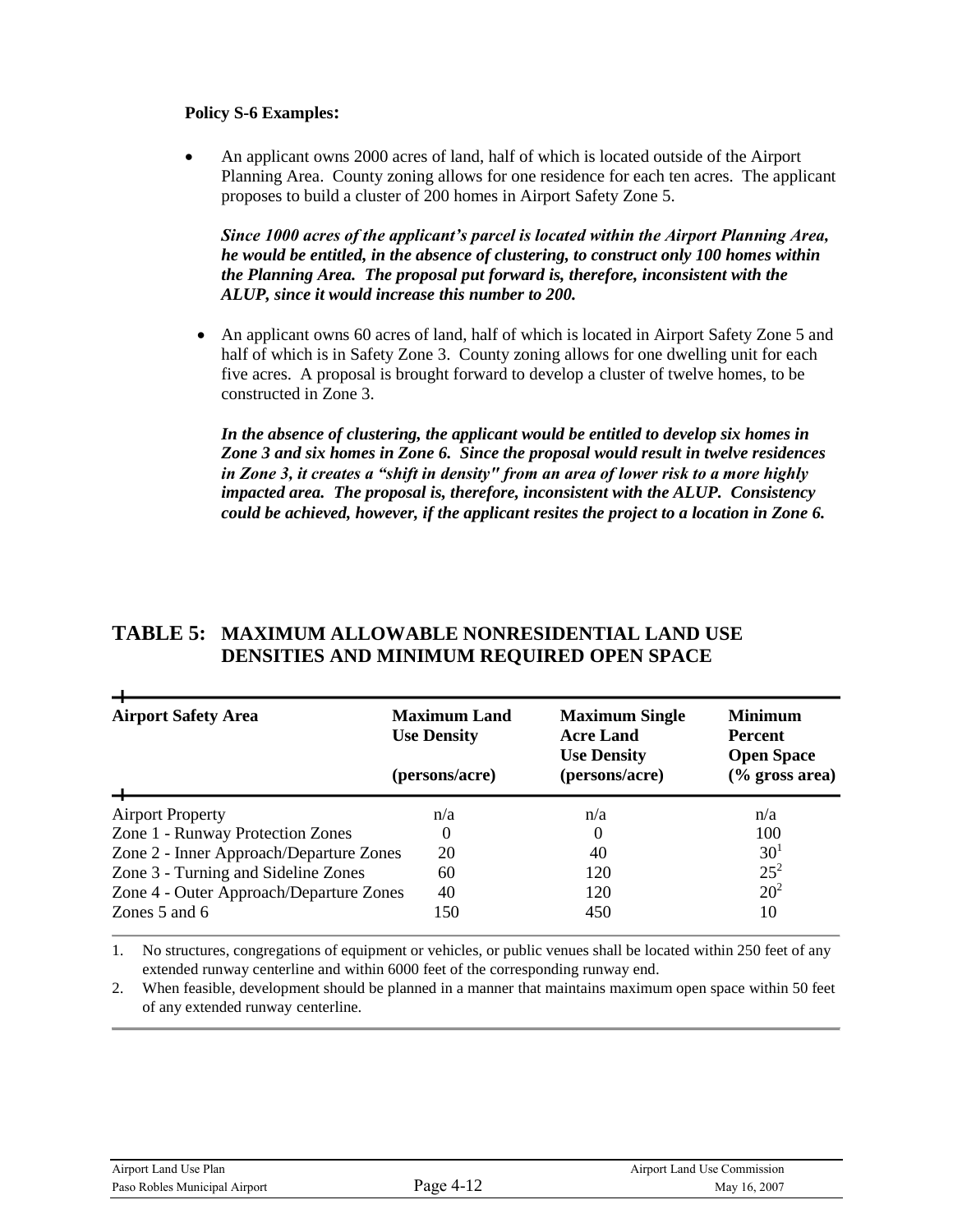#### **Policy S-6 Examples:**

 An applicant owns 2000 acres of land, half of which is located outside of the Airport Planning Area. County zoning allows for one residence for each ten acres. The applicant proposes to build a cluster of 200 homes in Airport Safety Zone 5.

*Since 1000 acres of the applicant's parcel is located within the Airport Planning Area, he would be entitled, in the absence of clustering, to construct only 100 homes within the Planning Area. The proposal put forward is, therefore, inconsistent with the ALUP, since it would increase this number to 200.*

 An applicant owns 60 acres of land, half of which is located in Airport Safety Zone 5 and half of which is in Safety Zone 3. County zoning allows for one dwelling unit for each five acres. A proposal is brought forward to develop a cluster of twelve homes, to be constructed in Zone 3.

*In the absence of clustering, the applicant would be entitled to develop six homes in Zone 3 and six homes in Zone 6. Since the proposal would result in twelve residences in Zone 3, it creates a "shift in density" from an area of lower risk to a more highly impacted area. The proposal is, therefore, inconsistent with the ALUP. Consistency could be achieved, however, if the applicant resites the project to a location in Zone 6.*

#### **TABLE 5: MAXIMUM ALLOWABLE NONRESIDENTIAL LAND USE DENSITIES AND MINIMUM REQUIRED OPEN SPACE**

| <b>Airport Safety Area</b>              | <b>Maximum Land</b><br><b>Use Density</b><br>(persons/acre) | <b>Maximum Single</b><br><b>Acre Land</b><br><b>Use Density</b><br>(persons/acre) | <b>Minimum</b><br>Percent<br><b>Open Space</b><br>$(\%$ gross area) |
|-----------------------------------------|-------------------------------------------------------------|-----------------------------------------------------------------------------------|---------------------------------------------------------------------|
| <b>Airport Property</b>                 | n/a                                                         | n/a                                                                               | n/a                                                                 |
| Zone 1 - Runway Protection Zones        | $\theta$                                                    |                                                                                   | 100                                                                 |
| Zone 2 - Inner Approach/Departure Zones | 20                                                          | 40                                                                                | 30 <sup>1</sup>                                                     |
| Zone 3 - Turning and Sideline Zones     | 60                                                          | 120                                                                               | $25^{2}$                                                            |
| Zone 4 - Outer Approach/Departure Zones | 40                                                          | 120                                                                               | 20 <sup>2</sup>                                                     |
| Zones $5$ and $6$                       | 150                                                         | 450                                                                               | 10                                                                  |

1. No structures, congregations of equipment or vehicles, or public venues shall be located within 250 feet of any extended runway centerline and within 6000 feet of the corresponding runway end.

2. When feasible, development should be planned in a manner that maintains maximum open space within 50 feet of any extended runway centerline.

×.